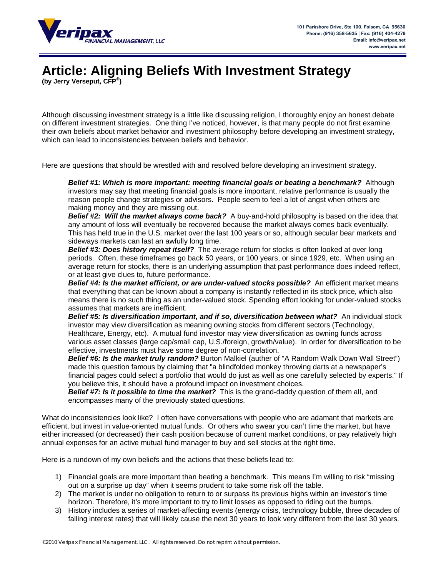

## **Article: Aligning Beliefs With Investment Strategy**

**(by Jerry Verseput, CFP® )**

Although discussing investment strategy is a little like discussing religion, I thoroughly enjoy an honest debate on different investment strategies. One thing I've noticed, however, is that many people do not first examine their own beliefs about market behavior and investment philosophy before developing an investment strategy, which can lead to inconsistencies between beliefs and behavior.

Here are questions that should be wrestled with and resolved before developing an investment strategy.

*Belief #1: Which is more important: meeting financial goals or beating a benchmark?* Although investors may say that meeting financial goals is more important, relative performance is usually the reason people change strategies or advisors. People seem to feel a lot of angst when others are making money and they are missing out.

*Belief #2: Will the market always come back?* A buy-and-hold philosophy is based on the idea that any amount of loss will eventually be recovered because the market always comes back eventually. This has held true in the U.S. market over the last 100 years or so, although secular bear markets and sideways markets can last an awfully long time.

*Belief #3: Does history repeat itself?* The average return for stocks is often looked at over long periods. Often, these timeframes go back 50 years, or 100 years, or since 1929, etc. When using an average return for stocks, there is an underlying assumption that past performance does indeed reflect, or at least give clues to, future performance.

*Belief #4: Is the market efficient, or are under-valued stocks possible?* An efficient market means that everything that can be known about a company is instantly reflected in its stock price, which also means there is no such thing as an under-valued stock. Spending effort looking for under-valued stocks assumes that markets are inefficient.

**Belief #5: Is diversification important, and if so, diversification between what?** An individual stock investor may view diversification as meaning owning stocks from different sectors (Technology, Healthcare, Energy, etc). A mutual fund investor may view diversification as owning funds across various asset classes (large cap/small cap, U.S./foreign, growth/value). In order for diversification to be effective, investments must have some degree of non-correlation.

**Belief #6: Is the market truly random?** Burton Malkiel (auther of "A Random Walk Down Wall Street") made this question famous by claiming that "a blindfolded monkey throwing darts at a newspaper's financial pages could select a portfolio that would do just as well as one carefully selected by experts." If you believe this, it should have a profound impact on investment choices.

*Belief #7: Is it possible to time the market?* This is the grand-daddy question of them all, and encompasses many of the previously stated questions.

What do inconsistencies look like? I often have conversations with people who are adamant that markets are efficient, but invest in value-oriented mutual funds. Or others who swear you can't time the market, but have either increased (or decreased) their cash position because of current market conditions, or pay relatively high annual expenses for an active mutual fund manager to buy and sell stocks at the right time.

Here is a rundown of my own beliefs and the actions that these beliefs lead to:

- 1) Financial goals are more important than beating a benchmark. This means I'm willing to risk "missing out on a surprise up day" when it seems prudent to take some risk off the table.
- 2) The market is under no obligation to return to or surpass its previous highs within an investor's time horizon. Therefore, it's more important to try to limit losses as opposed to riding out the bumps.
- 3) History includes a series of market-affecting events (energy crisis, technology bubble, three decades of falling interest rates) that will likely cause the next 30 years to look very different from the last 30 years.